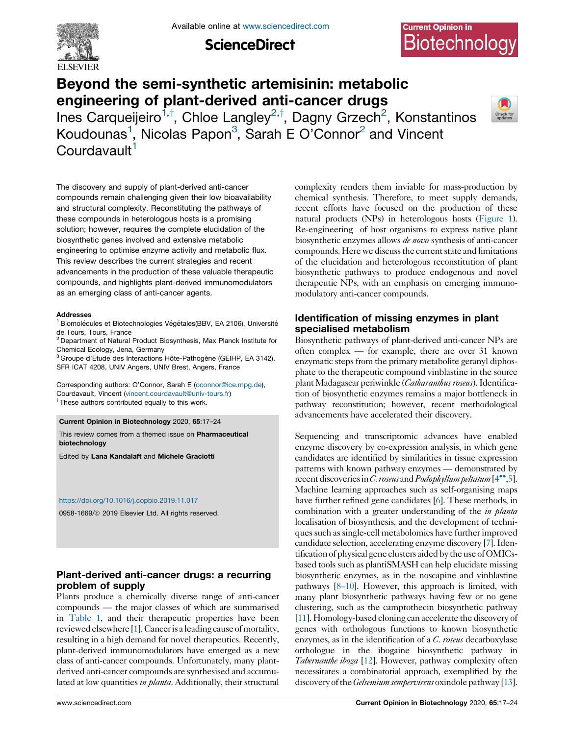

**ScienceDirect** 

# **Current Opinion in** Biotechnology

# Beyond the semi-synthetic artemisinin: metabolic engineering of plant-derived anti-cancer drugs

Ines Carqueijeiro<sup>1,†</sup>, Chloe Langley<sup>2,†</sup>, Dagny Grzech<sup>2</sup>, Konstantinos Koudounas<sup>1</sup>, Nicolas Papon<sup>3</sup>, Sarah E O'Connor<sup>2</sup> and Vincent Courdavault<sup>1</sup>



The discovery and supply of plant-derived anti-cancer compounds remain challenging given their low bioavailability and structural complexity. Reconstituting the pathways of these compounds in heterologous hosts is a promising solution; however, requires the complete elucidation of the biosynthetic genes involved and extensive metabolic engineering to optimise enzyme activity and metabolic flux. This review describes the current strategies and recent advancements in the production of these valuable therapeutic compounds, and highlights plant-derived immunomodulators as an emerging class of anti-cancer agents.

#### Addresses

<sup>1</sup> Biomolécules et Biotechnologies Végétales(BBV, EA 2106), Université de Tours, Tours, France

<sup>2</sup> Department of Natural Product Biosynthesis, Max Planck Institute for Chemical Ecology, Jena, Germany

 $3$  Groupe d'Etude des Interactions Hôte-Pathogène (GEIHP, EA 3142), SFR ICAT 4208, UNIV Angers, UNIV Brest, Angers, France

Corresponding authors: O'Connor, Sarah E [\(oconnor@ice.mpg.de](mailto:oconnor@ice.mpg.de)), Courdavault, Vincent ([vincent.courdavault@univ-tours.fr](mailto:vincent.courdavault@univ-tours.fr)) <sup>†</sup> These authors contributed equally to this work.

Current Opinion in Biotechnology 2020, 65:17–24

This review comes from a themed issue on Pharmaceutical biotechnology

Edited by Lana Kandalaft and Michele Graciotti

#### <https://doi.org/10.1016/j.copbio.2019.11.017>

0958-1669/@ 2019 Elsevier Ltd. All rights reserved.

# Plant-derived anti-cancer drugs: a recurring problem of supply

Plants produce a chemically diverse range of anti-cancer compounds — the major classes of which are summarised in [Table](#page-1-0) 1, and their therapeutic properties have been reviewed elsewhere [\[1\]](#page-5-0). Cancer is a leading cause of mortality, resulting in a high demand for novel therapeutics. Recently, plant-derived immunomodulators have emerged as a new class of anti-cancer compounds. Unfortunately, many plantderived anti-cancer compounds are synthesised and accumulated at low quantities in planta. Additionally, their structural complexity renders them inviable for mass-production by chemical synthesis. Therefore, to meet supply demands, recent efforts have focused on the production of these natural products (NPs) in heterologous hosts [\(Figure](#page-1-0) 1). Re-engineering of host organisms to express native plant biosynthetic enzymes allows de novo synthesis of anti-cancer compounds. Here we discuss the current state and limitations of the elucidation and heterologous reconstitution of plant biosynthetic pathways to produce endogenous and novel therapeutic NPs, with an emphasis on emerging immunomodulatory anti-cancer compounds.

## Identification of missing enzymes in plant specialised metabolism

Biosynthetic pathways of plant-derived anti-cancer NPs are often complex — for example, there are over 31 known enzymatic steps from the primary metabolite geranyl diphosphate to the therapeutic compound vinblastine in the source plant Madagascar periwinkle (Catharanthus roseus). Identification of biosynthetic enzymes remains a major bottleneck in pathway reconstitution; however, recent methodological advancements have accelerated their discovery.

Sequencing and transcriptomic advances have enabled enzyme discovery by co-expression analysis, in which gene candidates are identified by similarities in tissue expression patterns with known pathway enzymes — demonstrated by recent discoveries in C. roseus and Podophyllum peltatum  $[4^{\bullet\bullet},5]$  $[4^{\bullet\bullet},5]$  $[4^{\bullet\bullet},5]$  $[4^{\bullet\bullet},5]$ . Machine learning approaches such as self-organising maps have further refined gene candidates [\[6\]](#page-6-0). These methods, in combination with a greater understanding of the *in planta* localisation of biosynthesis, and the development of techniquessuch assingle-cell metabolomics have further improved candidate selection, accelerating enzyme discovery [\[7](#page-6-0)]. Identification of physical gene clusters aided by the use ofOMICsbased tools such as plantiSMASH can help elucidate missing biosynthetic enzymes, as in the noscapine and vinblastine pathways [\[8–10\]](#page-6-0). However, this approach is limited, with many plant biosynthetic pathways having few or no gene clustering, such as the camptothecin biosynthetic pathway [\[11\]](#page-6-0). Homology-based cloning can accelerate the discovery of genes with orthologous functions to known biosynthetic enzymes, as in the identification of a C. roseus decarboxylase orthologue in the ibogaine biosynthetic pathway in Tabernanthe iboga [\[12\]](#page-6-0). However, pathway complexity often necessitates a combinatorial approach, exemplified by the discovery of the *Gelsemium sempervirens* oxindole pathway [\[13\]](#page-6-0).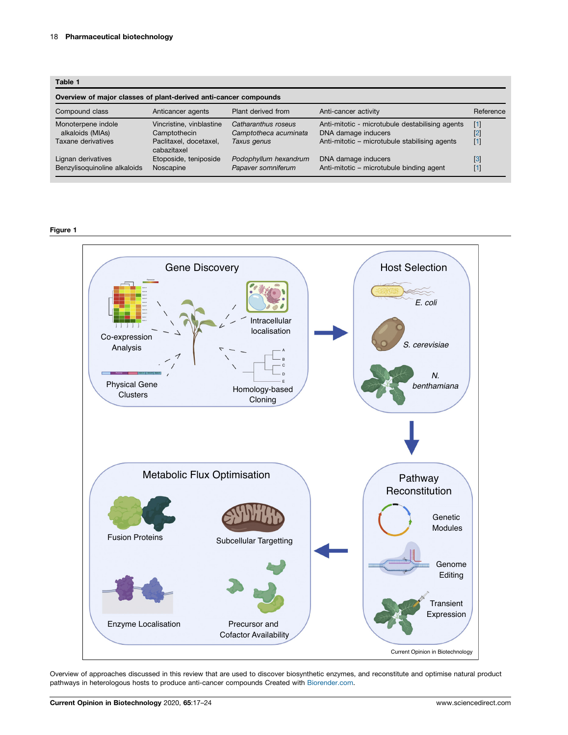#### <span id="page-1-0"></span>Table 1

| Overview of major classes of plant-derived anti-cancer compounds |                                          |                                              |                                                                        |                |  |  |  |
|------------------------------------------------------------------|------------------------------------------|----------------------------------------------|------------------------------------------------------------------------|----------------|--|--|--|
| Compound class                                                   | Anticancer agents                        | Plant derived from                           | Anti-cancer activity                                                   | Reference      |  |  |  |
| Monoterpene indole<br>alkaloids (MIAs)                           | Vincristine, vinblastine<br>Camptothecin | Catharanthus roseus<br>Camptotheca acuminata | Anti-mitotic - microtubule destabilising agents<br>DNA damage inducers | $[1]$<br>$[2]$ |  |  |  |
| Taxane derivatives                                               | Paclitaxel, docetaxel,<br>cabazitaxel    | Taxus genus                                  | Anti-mitotic - microtubule stabilising agents                          | $[1]$          |  |  |  |
| Lignan derivatives<br>Benzylisoquinoline alkaloids               | Etoposide, teniposide<br>Noscapine       | Podophyllum hexandrum<br>Papaver somniferum  | DNA damage inducers<br>Anti-mitotic - microtubule binding agent        | [3]<br>$[1]$   |  |  |  |

#### Figure 1



Overview of approaches discussed in this review that are used to discover biosynthetic enzymes, and reconstitute and optimise natural product pathways in heterologous hosts to produce anti-cancer compounds Created with [Biorender.com](http://Biorender.com).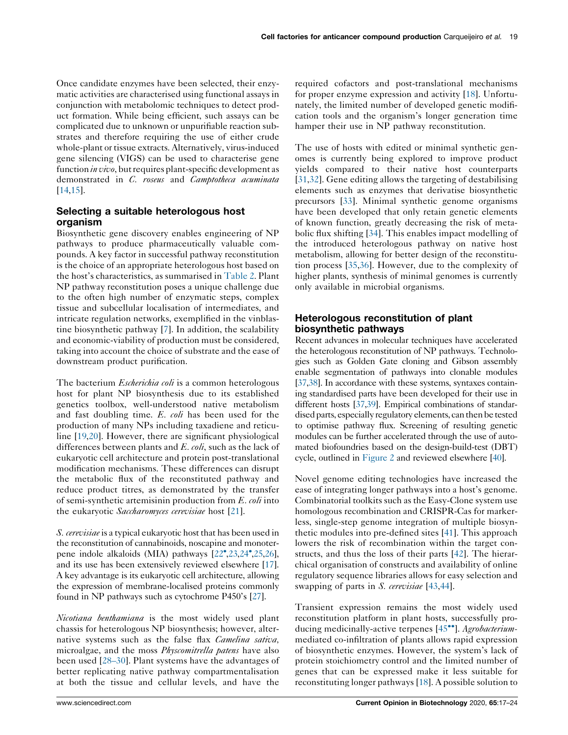Once candidate enzymes have been selected, their enzymatic activities are characterised using functional assays in conjunction with metabolomic techniques to detect product formation. While being efficient, such assays can be complicated due to unknown or unpurifiable reaction substrates and therefore requiring the use of either crude whole-plant or tissue extracts. Alternatively, virus-induced gene silencing (VIGS) can be used to characterise gene function *in vivo*, but requires plant-specific development as demonstrated in C. roseus and Camptotheca acuminata [\[14](#page-6-0),[15](#page-6-0)].

## Selecting a suitable heterologous host organism

Biosynthetic gene discovery enables engineering of NP pathways to produce pharmaceutically valuable compounds. A key factor in successful pathway reconstitution is the choice of an appropriate heterologous host based on the host's characteristics, as summarised in [Table](#page-3-0) 2. Plant NP pathway reconstitution poses a unique challenge due to the often high number of enzymatic steps, complex tissue and subcellular localisation of intermediates, and intricate regulation networks, exemplified in the vinblastine biosynthetic pathway [[7\]](#page-6-0). In addition, the scalability and economic-viability of production must be considered, taking into account the choice of substrate and the ease of downstream product purification.

The bacterium *Escherichia coli* is a common heterologous host for plant NP biosynthesis due to its established genetics toolbox, well-understood native metabolism and fast doubling time. E. coli has been used for the production of many NPs including taxadiene and reticuline [\[19](#page-6-0),[20\]](#page-6-0). However, there are significant physiological differences between plants and  $E$ . coli, such as the lack of eukaryotic cell architecture and protein post-translational modification mechanisms. These differences can disrupt the metabolic flux of the reconstituted pathway and reduce product titres, as demonstrated by the transfer of semi-synthetic artemisinin production from E. coli into the eukaryotic Saccharomyces cerevisiae host [[21\]](#page-6-0).

S. cerevisiae is a typical eukaryotic host that has been used in the reconstitution of cannabinoids, noscapine and monoter-pene indole alkaloids (MIA) pathways [\[22](#page-6-0), [23](#page-6-0), [24](#page-6-0), 25, 26], and its use has been extensively reviewed elsewhere [[17\]](#page-6-0). A key advantage is its eukaryotic cell architecture, allowing the expression of membrane-localised proteins commonly found in NP pathways such as cytochrome P450's [\[27\]](#page-6-0).

Nicotiana benthamiana is the most widely used plant chassis for heterologous NP biosynthesis; however, alternative systems such as the false flax *Camelina sativa*, microalgae, and the moss *Physcomitrella patens* have also been used [\[28–30](#page-6-0)]. Plant systems have the advantages of better replicating native pathway compartmentalisation at both the tissue and cellular levels, and have the required cofactors and post-translational mechanisms for proper enzyme expression and activity [[18\]](#page-6-0). Unfortunately, the limited number of developed genetic modification tools and the organism's longer generation time hamper their use in NP pathway reconstitution.

The use of hosts with edited or minimal synthetic genomes is currently being explored to improve product yields compared to their native host counterparts [[31](#page-6-0),[32\]](#page-6-0). Gene editing allows the targeting of destabilising elements such as enzymes that derivatise biosynthetic precursors [\[33](#page-6-0)]. Minimal synthetic genome organisms have been developed that only retain genetic elements of known function, greatly decreasing the risk of metabolic flux shifting [[34\]](#page-6-0). This enables impact modelling of the introduced heterologous pathway on native host metabolism, allowing for better design of the reconstitution process [[35,36](#page-6-0)]. However, due to the complexity of higher plants, synthesis of minimal genomes is currently only available in microbial organisms.

## Heterologous reconstitution of plant biosynthetic pathways

Recent advances in molecular techniques have accelerated the heterologous reconstitution of NP pathways. Technologies such as Golden Gate cloning and Gibson assembly enable segmentation of pathways into clonable modules [\[37,38\]](#page-7-0). In accordance with these systems, syntaxes containing standardised parts have been developed for their use in different hosts [\[37](#page-7-0),[39](#page-7-0)]. Empirical combinations of standardised parts, especially regulatory elements, can then be tested to optimise pathway flux. Screening of resulting genetic modules can be further accelerated through the use of automated biofoundries based on the design-build-test (DBT) cycle, outlined in [Figure](#page-4-0) 2 and reviewed elsewhere [\[40\]](#page-7-0).

Novel genome editing technologies have increased the ease of integrating longer pathways into a host's genome. Combinatorial toolkits such as the Easy-Clone system use homologous recombination and CRISPR-Cas for markerless, single-step genome integration of multiple biosynthetic modules into pre-defined sites [\[41](#page-7-0)]. This approach lowers the risk of recombination within the target constructs, and thus the loss of their parts [[42\]](#page-7-0). The hierarchical organisation of constructs and availability of online regulatory sequence libraries allows for easy selection and swapping of parts in S. cerevisiae [\[43](#page-7-0),[44\]](#page-7-0).

Transient expression remains the most widely used reconstitution platform in plant hosts, successfully pro-ducing medicinally-active terpenes [45<sup>••</sup>]. [Agrobacterium](#page-7-0)mediated co-infiltration of plants allows rapid expression of biosynthetic enzymes. However, the system's lack of protein stoichiometry control and the limited number of genes that can be expressed make it less suitable for reconstituting longer pathways [[18\]](#page-6-0). A possible solution to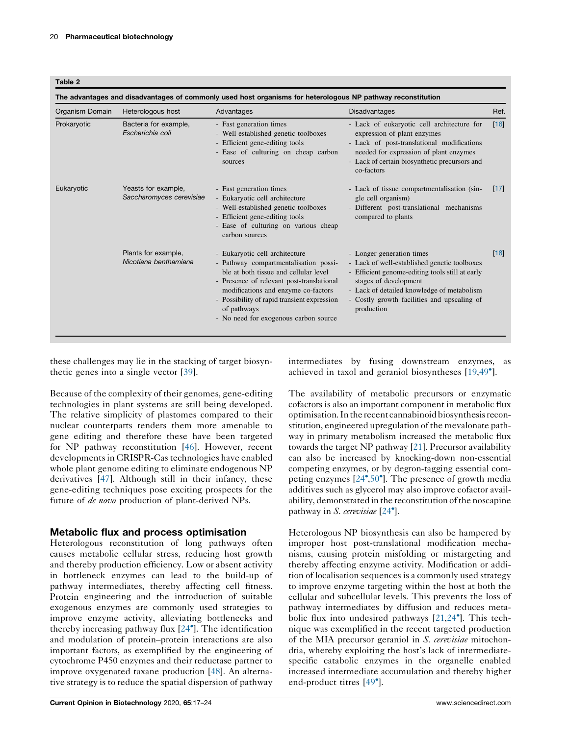<span id="page-3-0"></span>

| Table |
|-------|
|-------|

| Organism Domain | Heterologous host                               | Advantages                                                                                                                                                                                                                                                                                                  | <b>Disadvantages</b>                                                                                                                                                                                                                                             | Ref.   |
|-----------------|-------------------------------------------------|-------------------------------------------------------------------------------------------------------------------------------------------------------------------------------------------------------------------------------------------------------------------------------------------------------------|------------------------------------------------------------------------------------------------------------------------------------------------------------------------------------------------------------------------------------------------------------------|--------|
| Prokaryotic     | Bacteria for example,<br>Escherichia coli       | - Fast generation times<br>- Well established genetic toolboxes<br>- Efficient gene-editing tools<br>- Ease of culturing on cheap carbon<br>sources                                                                                                                                                         | - Lack of eukaryotic cell architecture for<br>expression of plant enzymes<br>- Lack of post-translational modifications<br>needed for expression of plant enzymes<br>- Lack of certain biosynthetic precursors and<br>co-factors                                 | [16]   |
| Eukaryotic      | Yeasts for example,<br>Saccharomyces cerevisiae | - Fast generation times<br>- Eukaryotic cell architecture<br>- Well-established genetic toolboxes<br>- Efficient gene-editing tools<br>- Ease of culturing on various cheap<br>carbon sources                                                                                                               | - Lack of tissue compartmentalisation (sin-<br>gle cell organism)<br>- Different post-translational mechanisms<br>compared to plants                                                                                                                             | $[17]$ |
|                 | Plants for example,<br>Nicotiana benthamiana    | - Eukaryotic cell architecture<br>- Pathway compartmentalisation possi-<br>ble at both tissue and cellular level<br>- Presence of relevant post-translational<br>modifications and enzyme co-factors<br>- Possibility of rapid transient expression<br>of pathways<br>- No need for exogenous carbon source | - Longer generation times<br>- Lack of well-established genetic toolboxes<br>- Efficient genome-editing tools still at early<br>stages of development<br>- Lack of detailed knowledge of metabolism<br>- Costly growth facilities and upscaling of<br>production | [18]   |

these challenges may lie in the stacking of target biosynthetic genes into a single vector [\[39](#page-7-0)].

intermediates by fusing downstream enzymes, as achieved in taxol and geraniol biosyntheses [[19,](#page-6-0)[49](#page-7-0)<sup>°</sup>].

Because of the complexity of their genomes, gene-editing technologies in plant systems are still being developed. The relative simplicity of plastomes compared to their nuclear counterparts renders them more amenable to gene editing and therefore these have been targeted for NP pathway reconstitution [\[46](#page-7-0)]. However, recent developmentsin CRISPR-Cas technologies have enabled whole plant genome editing to eliminate endogenous NP derivatives [\[47](#page-7-0)]. Although still in their infancy, these gene-editing techniques pose exciting prospects for the future of de novo production of plant-derived NPs.

## Metabolic flux and process optimisation

Heterologous reconstitution of long pathways often causes metabolic cellular stress, reducing host growth and thereby production efficiency. Low or absent activity in bottleneck enzymes can lead to the build-up of pathway intermediates, thereby affecting cell fitness. Protein engineering and the introduction of suitable exogenous enzymes are commonly used strategies to improve enzyme activity, alleviating bottlenecks and thereby increasing pathway flux [\[24](#page-6-0)- ]. The identification and modulation of protein–protein interactions are also important factors, as exemplified by the engineering of cytochrome P450 enzymes and their reductase partner to improve oxygenated taxane production [\[48](#page-7-0)]. An alternative strategy is to reduce the spatial dispersion of pathway The availability of metabolic precursors or enzymatic cofactors is also an important component in metabolic flux optimisation. In the recent cannabinoid biosynthesis reconstitution, engineered upregulation of the mevalonate pathway in primary metabolism increased the metabolic flux towards the target NP pathway [[21\]](#page-6-0). Precursor availability can also be increased by knocking-down non-essential competing enzymes, or by degron-tagging essential competing enzymes  $[24^{\circ}, 50^{\circ}]$  $[24^{\circ}, 50^{\circ}]$  $[24^{\circ}, 50^{\circ}]$ . The presence of growth media additives such as glycerol may also improve cofactor availability, demonstrated in the reconstitution of the noscapine pathway in S. cerevisiae [\[24](#page-6-0)°].

Heterologous NP biosynthesis can also be hampered by improper host post-translational modification mechanisms, causing protein misfolding or mistargeting and thereby affecting enzyme activity. Modification or addition of localisation sequences is a commonly used strategy to improve enzyme targeting within the host at both the cellular and subcellular levels. This prevents the loss of pathway intermediates by diffusion and reduces metabolic flux into undesired pathways  $[21,24^{\bullet}]$  $[21,24^{\bullet}]$  $[21,24^{\bullet}]$ . This technique was exemplified in the recent targeted production of the MIA precursor geraniol in S. cerevisiae mitochondria, whereby exploiting the host's lack of intermediatespecific catabolic enzymes in the organelle enabled increased intermediate accumulation and thereby higher end-product titres [[49](#page-7-0)<sup>°</sup>].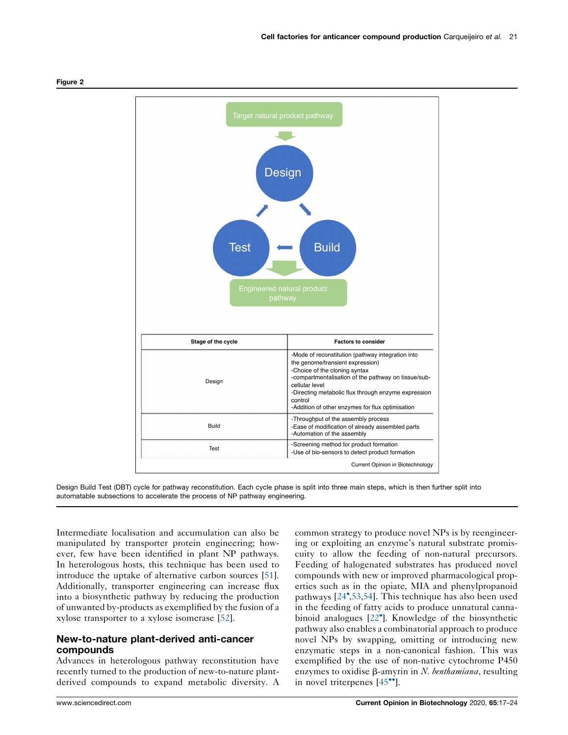

<span id="page-4-0"></span>

Design Build Test (DBT) cycle for pathway reconstitution. Each cycle phase is split into three main steps, which is then further split into automatable subsections to accelerate the process of NP pathway engineering.

Intermediate localisation and accumulation can also be manipulated by transporter protein engineering; however, few have been identified in plant NP pathways. In heterologous hosts, this technique has been used to introduce the uptake of alternative carbon sources [\[51](#page-7-0)]. Additionally, transporter engineering can increase flux into a biosynthetic pathway by reducing the production of unwanted by-products as exemplified by the fusion of a xylose transporter to a xylose isomerase [[52\]](#page-7-0).

### New-to-nature plant-derived anti-cancer compounds

Advances in heterologous pathway reconstitution have recently turned to the production of new-to-nature plantderived compounds to expand metabolic diversity. A common strategy to produce novel NPs is by reengineering or exploiting an enzyme's natural substrate promiscuity to allow the feeding of non-natural precursors. Feeding of halogenated substrates has produced novel compounds with new or improved pharmacological properties such as in the opiate, MIA and phenylpropanoid pathways [[24](#page-6-0),[53](#page-7-0),[54\]](#page-7-0). This technique has also been used in the feeding of fatty acids to produce unnatural canna-binoid analogues [\[22](#page-6-0)<sup>°</sup>]. Knowledge of the biosynthetic pathway also enables a combinatorial approach to produce novel NPs by swapping, omitting or introducing new enzymatic steps in a non-canonical fashion. This was exemplified by the use of non-native cytochrome P450 enzymes to oxidise  $\beta$ -amyrin in N. benthamiana, resulting in novel triterpenes [\[45](#page-7-0)<sup>••</sup>].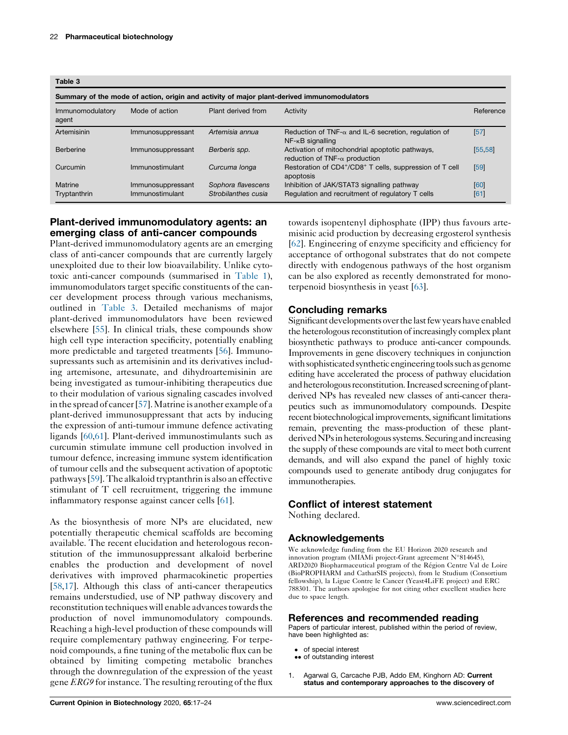<span id="page-5-0"></span>

| Table 3 |  |
|---------|--|
|---------|--|

| i apic v                                                                                   |                                      |                                           |                                                                                                |              |  |  |  |
|--------------------------------------------------------------------------------------------|--------------------------------------|-------------------------------------------|------------------------------------------------------------------------------------------------|--------------|--|--|--|
| Summary of the mode of action, origin and activity of major plant-derived immunomodulators |                                      |                                           |                                                                                                |              |  |  |  |
| Immunomodulatory<br>agent                                                                  | Mode of action                       | Plant derived from                        | Activity                                                                                       | Reference    |  |  |  |
| Artemisinin                                                                                | Immunosuppressant                    | Artemisia annua                           | Reduction of TNF- $\alpha$ and IL-6 secretion, regulation of<br>$NF - \kappa B$ signalling     | [57]         |  |  |  |
| Berberine                                                                                  | Immunosuppressant                    | Berberis spp.                             | Activation of mitochondrial apoptotic pathways,<br>reduction of TNF- $\alpha$ production       | [55, 58]     |  |  |  |
| Curcumin                                                                                   | Immunostimulant                      | Curcuma longa                             | Restoration of CD4+/CD8+ T cells, suppression of T cell<br>apoptosis                           | [59]         |  |  |  |
| Matrine<br>Tryptanthrin                                                                    | Immunosuppressant<br>Immunostimulant | Sophora flavescens<br>Strobilanthes cusia | Inhibition of JAK/STAT3 signalling pathway<br>Regulation and recruitment of regulatory T cells | [60]<br>[61] |  |  |  |

## Plant-derived immunomodulatory agents: an emerging class of anti-cancer compounds

Plant-derived immunomodulatory agents are an emerging class of anti-cancer compounds that are currently largely unexploited due to their low bioavailability. Unlike cytotoxic anti-cancer compounds (summarised in [Table](#page-1-0) 1), immunomodulators target specific constituents of the cancer development process through various mechanisms, outlined in Table 3. Detailed mechanisms of major plant-derived immunomodulators have been reviewed elsewhere [[55\]](#page-7-0). In clinical trials, these compounds show high cell type interaction specificity, potentially enabling more predictable and targeted treatments [[56\]](#page-7-0). Immunosupressants such as artemisinin and its derivatives including artemisone, artesunate, and dihydroartemisinin are being investigated as tumour-inhibiting therapeutics due to their modulation of various signaling cascades involved in the spread of cancer [\[57](#page-7-0)]. Matrine is another example of a plant-derived immunosuppressant that acts by inducing the expression of anti-tumour immune defence activating ligands [\[60,61](#page-7-0)]. Plant-derived immunostimulants such as curcumin stimulate immune cell production involved in tumour defence, increasing immune system identification of tumour cells and the subsequent activation of apoptotic pathways[[59](#page-7-0)].The alkaloid tryptanthrin is also an effective stimulant of T cell recruitment, triggering the immune inflammatory response against cancer cells [\[61](#page-7-0)].

As the biosynthesis of more NPs are elucidated, new potentially therapeutic chemical scaffolds are becoming available. The recent elucidation and heterologous reconstitution of the immunosuppressant alkaloid berberine enables the production and development of novel derivatives with improved pharmacokinetic properties [\[58](#page-7-0)[,17](#page-6-0)]. Although this class of anti-cancer therapeutics remains understudied, use of NP pathway discovery and reconstitution techniques will enable advances towards the production of novel immunomodulatory compounds. Reaching a high-level production of these compounds will require complementary pathway engineering. For terpenoid compounds, a fine tuning of the metabolic flux can be obtained by limiting competing metabolic branches through the downregulation of the expression of the yeast gene ERG9 for instance. The resulting rerouting of the flux

towards isopentenyl diphosphate (IPP) thus favours artemisinic acid production by decreasing ergosterol synthesis [\[62](#page-7-0)]. Engineering of enzyme specificity and efficiency for acceptance of orthogonal substrates that do not compete directly with endogenous pathways of the host organism can be also explored as recently demonstrated for monoterpenoid biosynthesis in yeast [[63\]](#page-7-0).

### Concluding remarks

Significant developments over thelast few years have enabled the heterologous reconstitution of increasingly complex plant biosynthetic pathways to produce anti-cancer compounds. Improvements in gene discovery techniques in conjunction with sophisticated synthetic engineering tools such as genome editing have accelerated the process of pathway elucidation and heterologous reconstitution. Increased screening of plantderived NPs has revealed new classes of anti-cancer therapeutics such as immunomodulatory compounds. Despite recent biotechnological improvements, significant limitations remain, preventing the mass-production of these plantderived NPs in heterologous systems. Securing and increasing the supply of these compounds are vital to meet both current demands, and will also expand the panel of highly toxic compounds used to generate antibody drug conjugates for immunotherapies.

#### Conflict of interest statement

Nothing declared.

### Acknowledgements

We acknowledge funding from the EU Horizon 2020 research and innovation program (MIAMi project-Grant agreement N°814645), ARD2020 Biopharmaceutical program of the Région Centre Val de Loire (BioPROPHARM and CatharSIS projects), from le Studium (Consortium fellowship), la Ligue Contre le Cancer (Yeast4LiFE project) and ERC 788301. The authors apologise for not citing other excellent studies here due to space length.

### References and recommended reading

Papers of particular interest, published within the period of review, have been highlighted as:

- of special interest
- or special interest<br>•• of outstanding interest
- 1. Agarwal G, Carcache PJB, Addo EM, Kinghorn AD: Current status and contemporary approaches to the discovery of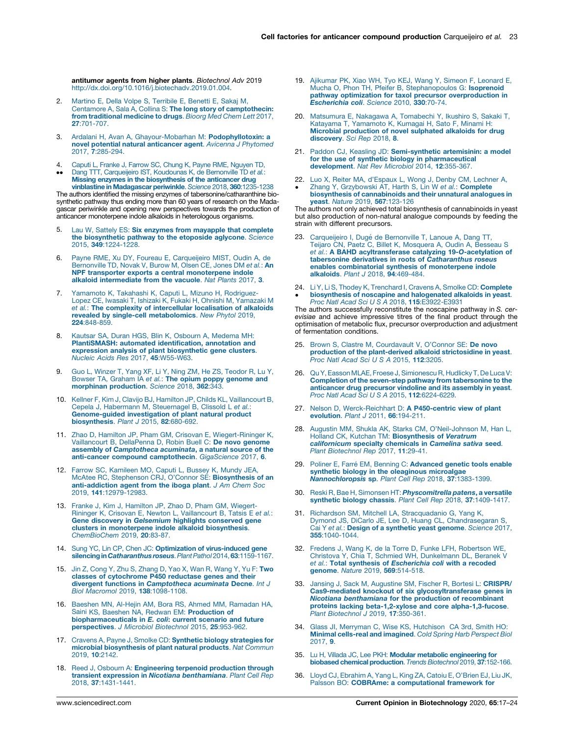<span id="page-6-0"></span>antitumor agents from higher plants. Biotechnol Adv 2019 [http://dx.doi.org/10.1016/j.biotechadv.2019.01.004.](http://dx.doi.org/10.1016/j.biotechadv.2019.01.004)

- 2. Martino E, Della Volpe S, [Terribile](http://refhub.elsevier.com/S0958-1669(19)30133-8/sbref0010) E, Benetti E, Sakaj M, Centamore A, Sala A, Collina S: The long story of [camptothecin:](http://refhub.elsevier.com/S0958-1669(19)30133-8/sbref0010) from [traditional](http://refhub.elsevier.com/S0958-1669(19)30133-8/sbref0010) medicine to drugs. Bioorg Med Chem Lett 2017, 27[:701-707.](http://refhub.elsevier.com/S0958-1669(19)30133-8/sbref0010)
- 3. Ardalani H, Avan A, [Ghayour-Mobarhan](http://refhub.elsevier.com/S0958-1669(19)30133-8/sbref0015) M: Podophyllotoxin: a novel potential natural [anticancer](http://refhub.elsevier.com/S0958-1669(19)30133-8/sbref0015) agent. Avicenna J Phytomed 2017, 7[:285-294.](http://refhub.elsevier.com/S0958-1669(19)30133-8/sbref0015)
- 4. Caputi L, Franke J, Farrow SC, Chung K, Payne RME, [Nguyen](http://refhub.elsevier.com/S0958-1669(19)30133-8/sbref0020) TD,
- $\ddot{\phantom{0}}$ Dang TTT, [Carqueijeiro](http://refhub.elsevier.com/S0958-1669(19)30133-8/sbref0020) IST, Koudounas K, de Bernonville TD *et al.*:<br>**Missing enzymes in the [biosynthesis](http://refhub.elsevier.com/S0958-1669(19)30133-8/sbref0020) of the anticancer drug** vinblastine in [Madagascar](http://refhub.elsevier.com/S0958-1669(19)30133-8/sbref0020) periwinkle. Science 2018, 360:1235-1238

The authors identified the missing enzymes of tabersonine/catharanthine biosynthetic pathway thus ending more than 60 years of research on the Madagascar periwinkle and opening new perspectives towards the production of anticancer monoterpene indole alkaloids in heterologous organisms.

- 5. Lau W, Sattely ES: Six enzymes from [mayapple](http://refhub.elsevier.com/S0958-1669(19)30133-8/sbref0025) that complete the [biosynthetic](http://refhub.elsevier.com/S0958-1669(19)30133-8/sbref0025) pathway to the etoposide aglycone. Science 2015, 349[:1224-1228.](http://refhub.elsevier.com/S0958-1669(19)30133-8/sbref0025)
- 6. Payne RME, Xu DY, Foureau E, [Carqueijeiro](http://refhub.elsevier.com/S0958-1669(19)30133-8/sbref0030) MIST, Oudin A, de [Bernonville](http://refhub.elsevier.com/S0958-1669(19)30133-8/sbref0030) TD, Novak V, Burow M, Olsen CE, Jones DM et al.: An NPF transporter exports a central [monoterpene](http://refhub.elsevier.com/S0958-1669(19)30133-8/sbref0030) indole alkaloid [intermediate](http://refhub.elsevier.com/S0958-1669(19)30133-8/sbref0030) from the vacuole. Nat Plants 2017, 3.
- Yamamoto K, Takahashi K, Caputi L, Mizuno H, [Rodriguez-](http://refhub.elsevier.com/S0958-1669(19)30133-8/sbref0035)Lopez CE, Iwasaki T, Ishizaki K, Fukaki H, Ohnishi M, [Yamazaki](http://refhub.elsevier.com/S0958-1669(19)30133-8/sbref0035) M et al.: The complexity of [intercellular](http://refhub.elsevier.com/S0958-1669(19)30133-8/sbref0035) localisation of alkaloids revealed by single-cell [metabolomics](http://refhub.elsevier.com/S0958-1669(19)30133-8/sbref0035). New Phytol 2019, 224[:848-859.](http://refhub.elsevier.com/S0958-1669(19)30133-8/sbref0035)
- 8. Kautsar SA, Duran HGS, Blin K, Osbourn A, [Medema](http://refhub.elsevier.com/S0958-1669(19)30133-8/sbref0040) MH: [PlantiSMASH:](http://refhub.elsevier.com/S0958-1669(19)30133-8/sbref0040) automated identification, annotation and expression analysis of plant [biosynthetic](http://refhub.elsevier.com/S0958-1669(19)30133-8/sbref0040) gene clusters. Nucleic Acids Res 2017, 45[:W55-W63.](http://refhub.elsevier.com/S0958-1669(19)30133-8/sbref0040)
- Guo L, Winzer T, Yang XF, Li Y, Ning ZM, He ZS, [Teodor](http://refhub.elsevier.com/S0958-1669(19)30133-8/sbref0045) R, Lu Y, Bowser TA, Graham IA et al.: The opium poppy [genome](http://refhub.elsevier.com/S0958-1669(19)30133-8/sbref0045) and morphinan [production](http://refhub.elsevier.com/S0958-1669(19)30133-8/sbref0045). Science 2018, 362:343
- 10. Kellner F, Kim J, Clavijo BJ, Hamilton JP, Childs KL, [Vaillancourt](http://refhub.elsevier.com/S0958-1669(19)30133-8/sbref0050) B, Cepela J, Habermann M, [Steuernagel](http://refhub.elsevier.com/S0958-1669(19)30133-8/sbref0050) B, Clissold L et al.: [Genome-guided](http://refhub.elsevier.com/S0958-1669(19)30133-8/sbref0050) investigation of plant natural product [biosynthesis](http://refhub.elsevier.com/S0958-1669(19)30133-8/sbref0050). Plant J 2015, 82:680-692.
- 11. Zhao D, Hamilton JP, Pham GM, Crisovan E, [Wiegert-Rininger](http://refhub.elsevier.com/S0958-1669(19)30133-8/sbref0055) K, [Vaillancourt](http://refhub.elsevier.com/S0958-1669(19)30133-8/sbref0055) B, DellaPenna D, Robin Buell C: De novo genome assembly of [Camptotheca](http://refhub.elsevier.com/S0958-1669(19)30133-8/sbref0055) acuminata, a natural source of the anti-cancer compound [camptothecin](http://refhub.elsevier.com/S0958-1669(19)30133-8/sbref0055). GigaScience 2017, 6.
- 12. Farrow SC, [Kamileen](http://refhub.elsevier.com/S0958-1669(19)30133-8/sbref0060) MO, Caputi L, Bussey K, Mundy JEA, McAtee RC, Stephenson CRJ, O'Connor SE: [Biosynthesis](http://refhub.elsevier.com/S0958-1669(19)30133-8/sbref0060) of an [anti-addiction](http://refhub.elsevier.com/S0958-1669(19)30133-8/sbref0060) agent from the iboga plant. J Am Chem Soc 2019, 141[:12979-12983.](http://refhub.elsevier.com/S0958-1669(19)30133-8/sbref0060)
- 13. Franke J, Kim J, [Hamilton](http://refhub.elsevier.com/S0958-1669(19)30133-8/sbref0065) JP, Zhao D, Pham GM, Wiegert-Rininger K, Crisovan E, Newton L, [Vaillancourt](http://refhub.elsevier.com/S0958-1669(19)30133-8/sbref0065) B, Tatsis E e*t al.*:<br>**Gene discovery in** *[Gelsemium](http://refhub.elsevier.com/S0958-1669(19)30133-8/sbref0065)* **highlights conserved gene** clusters in [monoterpene](http://refhub.elsevier.com/S0958-1669(19)30133-8/sbref0065) indole alkaloid biosynthesis. [ChemBioChem](http://refhub.elsevier.com/S0958-1669(19)30133-8/sbref0065) 2019, 20:83-87.
- 14. Sung YC, Lin CP, Chen JC: Optimization of [virus-induced](http://refhub.elsevier.com/S0958-1669(19)30133-8/sbref0070) gene silencing in Catharanthus roseus. Plant Pathol 2014, 63:1159-1167.
- 15. Jin Z, Cong Y, Zhu S, [Zhang](http://refhub.elsevier.com/S0958-1669(19)30133-8/sbref0075) D, Yao X, Wan R, Wang Y, Yu F: Two classes of [cytochrome](http://refhub.elsevier.com/S0958-1669(19)30133-8/sbref0075) P450 reductase genes and their divergent functions in [Camptotheca](http://refhub.elsevier.com/S0958-1669(19)30133-8/sbref0075) acuminata Decne. Int J Biol Macromol 2019, 138[:1098-1108.](http://refhub.elsevier.com/S0958-1669(19)30133-8/sbref0075)
- 16. Baeshen MN, Al-Hejin AM, Bora RS, Ahmed MM, [Ramadan](http://refhub.elsevier.com/S0958-1669(19)30133-8/sbref0080) HA, Saini KS, Baeshen NA, Redwan EM: [Production](http://refhub.elsevier.com/S0958-1669(19)30133-8/sbref0080) of [biopharmaceuticals](http://refhub.elsevier.com/S0958-1669(19)30133-8/sbref0080) in E. coli: current scenario and future [perspectives](http://refhub.elsevier.com/S0958-1669(19)30133-8/sbref0080). J Microbiol Biotechnol 2015, 25:953-962.
- 17. Cravens A, Payne J, Smolke CD: Synthetic biology [strategies](http://refhub.elsevier.com/S0958-1669(19)30133-8/sbref0085) for microbial [biosynthesis](http://refhub.elsevier.com/S0958-1669(19)30133-8/sbref0085) of plant natural products. Nat Commun 2019, 10[:2142.](http://refhub.elsevier.com/S0958-1669(19)30133-8/sbref0085)
- 18. Reed J, Osbourn A: [Engineering](http://refhub.elsevier.com/S0958-1669(19)30133-8/sbref0090) terpenoid production through transient expression in Nicotiana [benthamiana](http://refhub.elsevier.com/S0958-1669(19)30133-8/sbref0090). Plant Cell Rep 2018, 37[:1431-1441.](http://refhub.elsevier.com/S0958-1669(19)30133-8/sbref0090)
- 19. [Ajikumar](http://refhub.elsevier.com/S0958-1669(19)30133-8/sbref0095) PK, Xiao WH, Tyo KEJ, Wang Y, Simeon F, Leonard E, Mucha O, Phon TH, Pfeifer B, [Stephanopoulos](http://refhub.elsevier.com/S0958-1669(19)30133-8/sbref0095) G: **Isoprenoid** pathway optimization for taxol precursor [overproduction](http://refhub.elsevier.com/S0958-1669(19)30133-8/sbref0095) in [Escherichia](http://refhub.elsevier.com/S0958-1669(19)30133-8/sbref0095) coli. Science 2010, 330:70-74.
- 20. [Matsumura](http://refhub.elsevier.com/S0958-1669(19)30133-8/sbref0100) E, Nakagawa A, Tomabechi Y, Ikushiro S, Sakaki T, Katayama T, [Yamamoto](http://refhub.elsevier.com/S0958-1669(19)30133-8/sbref0100) K, Kumagai H, Sato F, Minami H:<br>**Microbial [production](http://refhub.elsevier.com/S0958-1669(19)30133-8/sbref0100) of novel sulphated alkaloids for drug** [discovery](http://refhub.elsevier.com/S0958-1669(19)30133-8/sbref0100). Sci Rep 2018, 8.
- 21. Paddon CJ, Keasling JD: [Semi-synthetic](http://refhub.elsevier.com/S0958-1669(19)30133-8/sbref0105) artemisinin: a model for the use of synthetic biology in [pharmaceutical](http://refhub.elsevier.com/S0958-1669(19)30133-8/sbref0105) [development](http://refhub.elsevier.com/S0958-1669(19)30133-8/sbref0105). Nat Rev Microbiol 2014, 12:355-367.
- 22. Luo X, Reiter MA, [d'Espaux](http://refhub.elsevier.com/S0958-1669(19)30133-8/sbref0110) L, Wong J, Denby CM, Lechner A, -Zhang Y, [Grzybowski](http://refhub.elsevier.com/S0958-1669(19)30133-8/sbref0110) AT, Harth S, Lin W et al.: **Complete** biosynthesis of [cannabinoids](http://refhub.elsevier.com/S0958-1669(19)30133-8/sbref0110) and their unnatural analogues in yeast. Nature 2019, 567[:123-126](http://refhub.elsevier.com/S0958-1669(19)30133-8/sbref0110)

The authors not only achieved total biosynthesis of cannabinoids in yeast but also production of non-natural analogue compounds by feeding the strain with different precursors.

- 23. [Carqueijeiro](http://refhub.elsevier.com/S0958-1669(19)30133-8/sbref0115) I, Dugé de Bernonville T, Lanoue A, Dang TT,<br>Teijaro CN, Paetz C, Billet K, [Mosquera](http://refhub.elsevier.com/S0958-1669(19)30133-8/sbref0115) A, Oudin A, Besseau S et al.: A BAHD [acyltransferase](http://refhub.elsevier.com/S0958-1669(19)30133-8/sbref0115) catalyzing 19-O-acetylation of tabersonine derivatives in roots of [Catharanthus](http://refhub.elsevier.com/S0958-1669(19)30133-8/sbref0115) roseus enables [combinatorial](http://refhub.elsevier.com/S0958-1669(19)30133-8/sbref0115) synthesis of monoterpene indole alkaloids. Plant J 2018, 94[:469-484.](http://refhub.elsevier.com/S0958-1669(19)30133-8/sbref0115)
- 24. 24. Li Y, Li S, Thodey K, [Trenchard](http://refhub.elsevier.com/S0958-1669(19)30133-8/sbref0120) I, Cravens A, Smolke CD: **Complete**<br> **[biosynthesis](http://refhub.elsevier.com/S0958-1669(19)30133-8/sbref0120) of noscapine and halogenated alkaloids in yeast.**<br> *Proc Natl Acad Sci U S A 2018*, **115**[:E3922-E3931](http://refhub.elsevier.com/S0958-1669(19)30133-8/sbref0120)

The authors successfully reconstitute the noscapine pathway in S. cerevisiae and achieve impressive titres of the final product through the optimisation of metabolic flux, precursor overproduction and adjustment of fermentation conditions.

- 25. Brown S, Clastre M, [Courdavault](http://refhub.elsevier.com/S0958-1669(19)30133-8/sbref0125) V, O'Connor SE: De novo production of the [plant-derived](http://refhub.elsevier.com/S0958-1669(19)30133-8/sbref0125) alkaloid strictosidine in yeast. Proc Natl Acad Sci U S A 2015, 112[:3205.](http://refhub.elsevier.com/S0958-1669(19)30133-8/sbref0125)
- 26. QuY, Easson MLAE, Froese J, Simionescu R, Hudlicky T, De Luca V: Completion of the seven-step pathway from [tabersonine](http://refhub.elsevier.com/S0958-1669(19)30133-8/sbref0130) to the [anticancer](http://refhub.elsevier.com/S0958-1669(19)30133-8/sbref0130) drug precursor vindoline and its assembly in yeast. Proc Natl Acad Sci U S A 2015, 112[:6224-6229.](http://refhub.elsevier.com/S0958-1669(19)30133-8/sbref0130)
- 27. Nelson D, [Werck-Reichhart](http://refhub.elsevier.com/S0958-1669(19)30133-8/sbref0135) D: A P450-centric view of plant [evolution](http://refhub.elsevier.com/S0958-1669(19)30133-8/sbref0135). Plant J 2011, 66:194-211.
- 28. Augustin MM, Shukla AK, Starks CM, [O'Neil-Johnson](http://refhub.elsevier.com/S0958-1669(19)30133-8/sbref0140) M, Han L, Holland CK, Kutchan TM: [Biosynthesis](http://refhub.elsevier.com/S0958-1669(19)30133-8/sbref0140) of Veratrum [californicum](http://refhub.elsevier.com/S0958-1669(19)30133-8/sbref0140) specialty chemicals in Camelina sativa seed. Plant [Biotechnol](http://refhub.elsevier.com/S0958-1669(19)30133-8/sbref0140) Rep 2017, 11:29-41.
- 29. Poliner E, Farré EM, Benning C: [Advanced](http://refhub.elsevier.com/S0958-1669(19)30133-8/sbref0145) genetic tools enable synthetic biology in the oleaginous [microalgae](http://refhub.elsevier.com/S0958-1669(19)30133-8/sbref0145) [Nannochloropsis](http://refhub.elsevier.com/S0958-1669(19)30133-8/sbref0145) sp. Plant Cell Rep 2018, 37:1383-1399.
- 30. Reski R, Bae H, Simonsen HT: *[Physcomitrella](http://refhub.elsevier.com/S0958-1669(19)30133-8/sbref0150) patens*, a versatile synthetic biology chassis. Plant Cell Rep 2018, 37[:1409-1417.](http://refhub.elsevier.com/S0958-1669(19)30133-8/sbref0150)
- 31. Richardson SM, Mitchell LA, [Stracquadanio](http://refhub.elsevier.com/S0958-1669(19)30133-8/sbref0155) G, Yang K, Dymond JS, DiCarlo JE, Lee D, Huang CL, [Chandrasegaran](http://refhub.elsevier.com/S0958-1669(19)30133-8/sbref0155) S, Cai Y et al.: Design of a [synthetic](http://refhub.elsevier.com/S0958-1669(19)30133-8/sbref0155) yeast genome. Science 2017, 355[:1040-1044.](http://refhub.elsevier.com/S0958-1669(19)30133-8/sbref0155)
- 32. Fredens J, Wang K, de la Torre D, Funke LFH, [Robertson](http://refhub.elsevier.com/S0958-1669(19)30133-8/sbref0160) WE, Christova Y, Chia T, Schmied WH, [Dunkelmann](http://refhub.elsevier.com/S0958-1669(19)30133-8/sbref0160) DL, Beranek V et al.: Total synthesis of [Escherichia](http://refhub.elsevier.com/S0958-1669(19)30133-8/sbref0160) coli with a recoded genome. Nature 2019, 569[:514-518.](http://refhub.elsevier.com/S0958-1669(19)30133-8/sbref0160)
- 33. Jansing J, Sack M, [Augustine](http://refhub.elsevier.com/S0958-1669(19)30133-8/sbref0165) SM, Fischer R, Bortesi L: CRISPR/ Cas9-mediated knockout of six [glycosyltransferase](http://refhub.elsevier.com/S0958-1669(19)30133-8/sbref0165) genes in Nicotiana [benthamiana](http://refhub.elsevier.com/S0958-1669(19)30133-8/sbref0165) for the production of recombinant proteins lacking beta-1,2-xylose and core [alpha-1,3-fucose](http://refhub.elsevier.com/S0958-1669(19)30133-8/sbref0165).<br>Plant [Biotechnol](http://refhub.elsevier.com/S0958-1669(19)30133-8/sbref0165) J 2019, 17:350-361.
- 34. Glass JI, [Merryman](http://refhub.elsevier.com/S0958-1669(19)30133-8/sbref0170) C, Wise KS, Hutchison CA 3rd, Smith HO: Minimal [cells-real](http://refhub.elsevier.com/S0958-1669(19)30133-8/sbref0170) and imagined. Cold Spring Harb Perspect Biol [2017,](http://refhub.elsevier.com/S0958-1669(19)30133-8/sbref0170) 9.
- 35. Lu H, Villada JC, Lee PKH: Modular metabolic [engineering](http://refhub.elsevier.com/S0958-1669(19)30133-8/sbref0175) for biobased chemical [production](http://refhub.elsevier.com/S0958-1669(19)30133-8/sbref0175). Trends Biotechnol 2019, 37:152-166.
- 36. Lloyd CJ, [Ebrahim](http://refhub.elsevier.com/S0958-1669(19)30133-8/sbref0180) A, Yang L, King ZA, Catoiu E, O'Brien EJ, Liu JK, Palsson BO: COBRAme: a [computational](http://refhub.elsevier.com/S0958-1669(19)30133-8/sbref0180) framework for